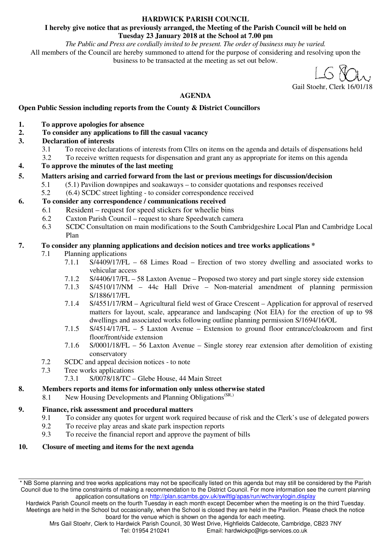#### **HARDWICK PARISH COUNCIL**

#### **I hereby give notice that as previously arranged, the Meeting of the Parish Council will be held on Tuesday 23 January 2018 at the School at 7.00 pm**

*The Public and Press are cordially invited to be present. The order of business may be varied.*  All members of the Council are hereby summoned to attend for the purpose of considering and resolving upon the business to be transacted at the meeting as set out below.

Gail Stoehr, Clerk 16/01/18

## **AGENDA**

#### **Open Public Session including reports from the County & District Councillors**

- **1. To approve apologies for absence**
- **2. To consider any applications to fill the casual vacancy**
- **3. Declaration of interests** 
	- 3.1 To receive declarations of interests from Cllrs on items on the agenda and details of dispensations held
	- 3.2 To receive written requests for dispensation and grant any as appropriate for items on this agenda
- **4. To approve the minutes of the last meeting**
- **5. Matters arising and carried forward from the last or previous meetings for discussion/decision** 
	- 5.1 (5.1) Pavilion downpipes and soakaways to consider quotations and responses received
	- 5.2 (6.4) SCDC street lighting to consider correspondence received

#### **6. To consider any correspondence / communications received**

- 6.1 Resident request for speed stickers for wheelie bins
	- 6.2 Caxton Parish Council request to share Speedwatch camera
	- 6.3 SCDC Consultation on main modifications to the South Cambridgeshire Local Plan and Cambridge Local Plan

#### **7. To consider any planning applications and decision notices and tree works applications \***

- 7.1 Planning applications
	- 7.1.1 S/4409/17/FL 68 Limes Road Erection of two storey dwelling and associated works to vehicular access
	- 7.1.2 S/4406/17/FL 58 Laxton Avenue Proposed two storey and part single storey side extension
	- 7.1.3 S/4510/17/NM 44c Hall Drive Non-material amendment of planning permission S/1886/17/FL
	- 7.1.4 S/4551/17/RM Agricultural field west of Grace Crescent Application for approval of reserved matters for layout, scale, appearance and landscaping (Not EIA) for the erection of up to 98 dwellings and associated works following outline planning permission S/1694/16/OL
	- 7.1.5 S/4514/17/FL 5 Laxton Avenue Extension to ground floor entrance/cloakroom and first floor/front/side extension
	- 7.1.6 S/0001/18/FL 56 Laxton Avenue Single storey rear extension after demolition of existing conservatory
- 7.2 SCDC and appeal decision notices to note<br>7.3 Tree works applications
- Tree works applications
	- 7.3.1 S/0078/18/TC Glebe House, 44 Main Street

#### **8. Members reports and items for information only unless otherwise stated**

8.1 New Housing Developments and Planning Obligations<sup>(SR,)</sup>

## **9. Finance, risk assessment and procedural matters**

- 9.1 To consider any quotes for urgent work required because of risk and the Clerk's use of delegated powers
- 9.2 To receive play areas and skate park inspection reports
- 9.3 To receive the financial report and approve the payment of bills

## **10. Closure of meeting and items for the next agenda**

<sup>\*</sup> NB Some planning and tree works applications may not be specifically listed on this agenda but may still be considered by the Parish Council due to the time constraints of making a recommendation to the District Council. For more information see the current planning application consultations on http://plan.scambs.gov.uk/swiftlg/apas/run/wchvarylogin.display

Hardwick Parish Council meets on the fourth Tuesday in each month except December when the meeting is on the third Tuesday. Meetings are held in the School but occasionally, when the School is closed they are held in the Pavilion. Please check the notice board for the venue which is shown on the agenda for each meeting.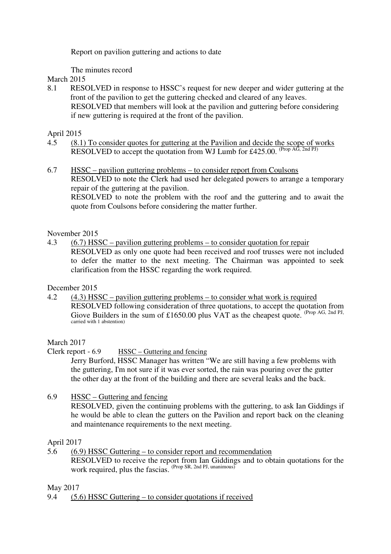Report on pavilion guttering and actions to date

The minutes record

## March 2015

8.1 RESOLVED in response to HSSC's request for new deeper and wider guttering at the front of the pavilion to get the guttering checked and cleared of any leaves. RESOLVED that members will look at the pavilion and guttering before considering if new guttering is required at the front of the pavilion.

## April 2015

- 4.5 (8.1) To consider quotes for guttering at the Pavilion and decide the scope of works RESOLVED to accept the quotation from WJ Lumb for £425.00. (Prop AG, 2nd PJ)
- 6.7 HSSC pavilion guttering problems to consider report from Coulsons RESOLVED to note the Clerk had used her delegated powers to arrange a temporary repair of the guttering at the pavilion. RESOLVED to note the problem with the roof and the guttering and to await the quote from Coulsons before considering the matter further.

## November 2015

4.3 (6.7) HSSC – pavilion guttering problems – to consider quotation for repair RESOLVED as only one quote had been received and roof trusses were not included to defer the matter to the next meeting. The Chairman was appointed to seek clarification from the HSSC regarding the work required.

December 2015

4.2 (4.3) HSSC – pavilion guttering problems – to consider what work is required RESOLVED following consideration of three quotations, to accept the quotation from Giove Builders in the sum of £1650.00 plus VAT as the cheapest quote. (Prop AG, 2nd PJ, carried with 1 abstention)

March 2017

Clerk report - 6.9 HSSC – Guttering and fencing

Jerry Burford, HSSC Manager has written "We are still having a few problems with the guttering, I'm not sure if it was ever sorted, the rain was pouring over the gutter the other day at the front of the building and there are several leaks and the back.

6.9 HSSC – Guttering and fencing

RESOLVED, given the continuing problems with the guttering, to ask Ian Giddings if he would be able to clean the gutters on the Pavilion and report back on the cleaning and maintenance requirements to the next meeting.

## April 2017

5.6 (6.9) HSSC Guttering – to consider report and recommendation RESOLVED to receive the report from Ian Giddings and to obtain quotations for the work required, plus the fascias. (Prop SR, 2nd PJ, unanimous)

May 2017

9.4 (5.6) HSSC Guttering – to consider quotations if received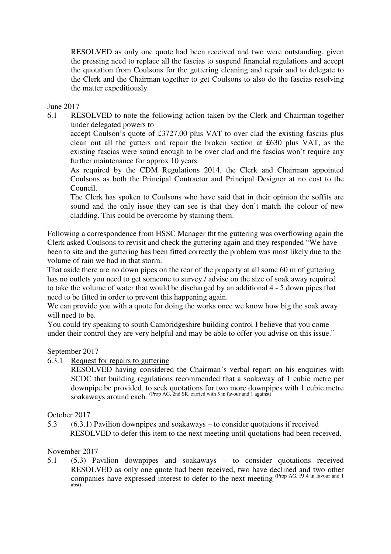RESOLVED as only one quote had been received and two were outstanding, given the pressing need to replace all the fascias to suspend financial regulations and accept the quotation from Coulsons for the guttering cleaning and repair and to delegate to the Clerk and the Chairman together to get Coulsons to also do the fascias resolving the matter expeditiously.

June 2017

6.1 RESOLVED to note the following action taken by the Clerk and Chairman together under delegated powers to

accept Coulson's quote of £3727.00 plus VAT to over clad the existing fascias plus clean out all the gutters and repair the broken section at £630 plus VAT, as the existing fascias were sound enough to be over clad and the fascias won't require any further maintenance for approx 10 years.

As required by the CDM Regulations 2014, the Clerk and Chairman appointed Coulsons as both the Principal Contractor and Principal Designer at no cost to the Council.

The Clerk has spoken to Coulsons who have said that in their opinion the soffits are sound and the only issue they can see is that they don't match the colour of new cladding. This could be overcome by staining them.

Following a correspondence from HSSC Manager tht the guttering was overflowing again the Clerk asked Coulsons to revisit and check the guttering again and they responded "We have been to site and the guttering has been fitted correctly the problem was most likely due to the volume of rain we had in that storm.

That aside there are no down pipes on the rear of the property at all some 60 m of guttering has no outlets you need to get someone to survey / advise on the size of soak away required to take the volume of water that would be discharged by an additional 4 - 5 down pipes that need to be fitted in order to prevent this happening again.

We can provide you with a quote for doing the works once we know how big the soak away will need to be.

You could try speaking to south Cambridgeshire building control I believe that you come under their control they are very helpful and may be able to offer you advise on this issue."

#### September 2017

6.3.1 Request for repairs to guttering

 RESOLVED having considered the Chairman's verbal report on his enquiries with SCDC that building regulations recommended that a soakaway of 1 cubic metre per downpipe be provided, to seek quotations for two more downpipes with 1 cubic metre soakaways around each. (Prop AG, 2nd SR, carried with 5 in favour and 1 against)

#### October 2017

5.3 (6.3.1) Pavilion downpipes and soakaways – to consider quotations if received RESOLVED to defer this item to the next meeting until quotations had been received.

#### November 2017

5.1 (5.3) Pavilion downpipes and soakaways – to consider quotations received RESOLVED as only one quote had been received, two have declined and two other companies have expressed interest to defer to the next meeting (Prop AG, PJ 4 in favour and 1) abst)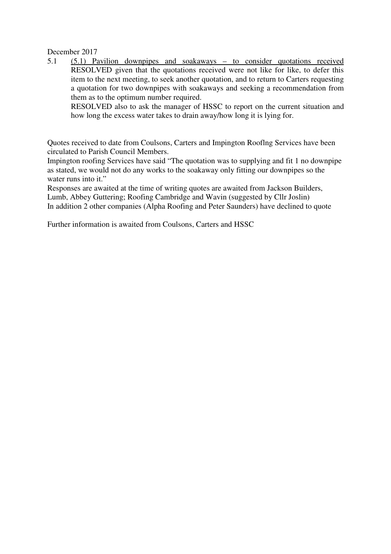December 2017

5.1 (5.1) Pavilion downpipes and soakaways – to consider quotations received RESOLVED given that the quotations received were not like for like, to defer this item to the next meeting, to seek another quotation, and to return to Carters requesting a quotation for two downpipes with soakaways and seeking a recommendation from them as to the optimum number required.

RESOLVED also to ask the manager of HSSC to report on the current situation and how long the excess water takes to drain away/how long it is lying for.

Quotes received to date from Coulsons, Carters and Impington Rooflng Services have been circulated to Parish Council Members.

Impington roofing Services have said "The quotation was to supplying and fit 1 no downpipe as stated, we would not do any works to the soakaway only fitting our downpipes so the water runs into it."

Responses are awaited at the time of writing quotes are awaited from Jackson Builders, Lumb, Abbey Guttering; Roofing Cambridge and Wavin (suggested by Cllr Joslin) In addition 2 other companies (Alpha Roofing and Peter Saunders) have declined to quote

Further information is awaited from Coulsons, Carters and HSSC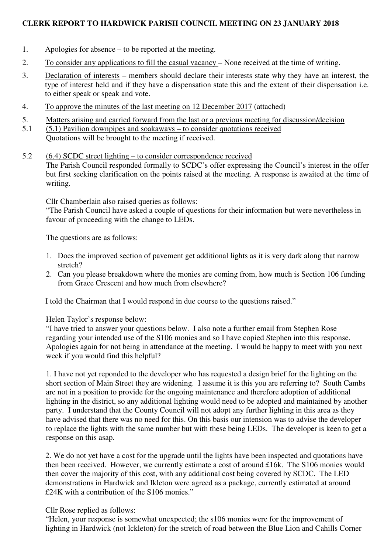## **CLERK REPORT TO HARDWICK PARISH COUNCIL MEETING ON 23 JANUARY 2018**

- 1. Apologies for absence to be reported at the meeting.
- 2. To consider any applications to fill the casual vacancy None received at the time of writing.
- 3. Declaration of interests members should declare their interests state why they have an interest, the type of interest held and if they have a dispensation state this and the extent of their dispensation i.e. to either speak or speak and vote.
- 4. To approve the minutes of the last meeting on 12 December 2017 (attached)
- 5. Matters arising and carried forward from the last or a previous meeting for discussion/decision
- 5.1 (5.1) Pavilion downpipes and soakaways to consider quotations received
	- Quotations will be brought to the meeting if received.

### 5.2 (6.4) SCDC street lighting – to consider correspondence received The Parish Council responded formally to SCDC's offer expressing the Council's interest in the offer but first seeking clarification on the points raised at the meeting. A response is awaited at the time of writing.

Cllr Chamberlain also raised queries as follows:

"The Parish Council have asked a couple of questions for their information but were nevertheless in favour of proceeding with the change to LEDs.

The questions are as follows:

- 1. Does the improved section of pavement get additional lights as it is very dark along that narrow stretch?
- 2. Can you please breakdown where the monies are coming from, how much is Section 106 funding from Grace Crescent and how much from elsewhere?

I told the Chairman that I would respond in due course to the questions raised."

Helen Taylor's response below:

"I have tried to answer your questions below. I also note a further email from Stephen Rose regarding your intended use of the S106 monies and so I have copied Stephen into this response. Apologies again for not being in attendance at the meeting. I would be happy to meet with you next week if you would find this helpful?

1. I have not yet reponded to the developer who has requested a design brief for the lighting on the short section of Main Street they are widening. I assume it is this you are referring to? South Cambs are not in a position to provide for the ongoing maintenance and therefore adoption of additional lighting in the district, so any additional lighting would need to be adopted and maintained by another party. I understand that the County Council will not adopt any further lighting in this area as they have advised that there was no need for this. On this basis our intension was to advise the developer to replace the lights with the same number but with these being LEDs. The developer is keen to get a response on this asap.

2. We do not yet have a cost for the upgrade until the lights have been inspected and quotations have then been received. However, we currently estimate a cost of around £16k. The S106 monies would then cover the majority of this cost, with any additional cost being covered by SCDC. The LED demonstrations in Hardwick and Ikleton were agreed as a package, currently estimated at around £24K with a contribution of the S106 monies."

## Cllr Rose replied as follows:

"Helen, your response is somewhat unexpected; the s106 monies were for the improvement of lighting in Hardwick (not Ickleton) for the stretch of road between the Blue Lion and Cahills Corner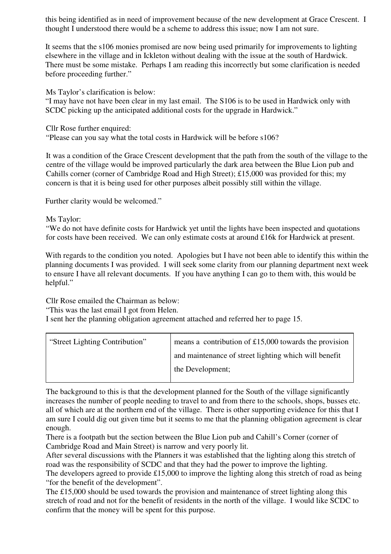this being identified as in need of improvement because of the new development at Grace Crescent. I thought I understood there would be a scheme to address this issue; now I am not sure.

It seems that the s106 monies promised are now being used primarily for improvements to lighting elsewhere in the village and in Ickleton without dealing with the issue at the south of Hardwick. There must be some mistake. Perhaps I am reading this incorrectly but some clarification is needed before proceeding further."

Ms Taylor's clarification is below:

"I may have not have been clear in my last email. The S106 is to be used in Hardwick only with SCDC picking up the anticipated additional costs for the upgrade in Hardwick."

Cllr Rose further enquired:

"Please can you say what the total costs in Hardwick will be before s106?

It was a condition of the Grace Crescent development that the path from the south of the village to the centre of the village would be improved particularly the dark area between the Blue Lion pub and Cahills corner (corner of Cambridge Road and High Street); £15,000 was provided for this; my concern is that it is being used for other purposes albeit possibly still within the village.

Further clarity would be welcomed."

Ms Taylor:

"We do not have definite costs for Hardwick yet until the lights have been inspected and quotations for costs have been received. We can only estimate costs at around £16k for Hardwick at present.

With regards to the condition you noted. Apologies but I have not been able to identify this within the planning documents I was provided. I will seek some clarity from our planning department next week to ensure I have all relevant documents. If you have anything I can go to them with, this would be helpful."

Cllr Rose emailed the Chairman as below:

"This was the last email I got from Helen.

I sent her the planning obligation agreement attached and referred her to page 15.

| "Street Lighting Contribution" | means a contribution of $£15,000$ towards the provision |  |
|--------------------------------|---------------------------------------------------------|--|
|                                | and maintenance of street lighting which will benefit   |  |
|                                | the Development;                                        |  |
|                                |                                                         |  |

The background to this is that the development planned for the South of the village significantly increases the number of people needing to travel to and from there to the schools, shops, busses etc. all of which are at the northern end of the village. There is other supporting evidence for this that I am sure I could dig out given time but it seems to me that the planning obligation agreement is clear enough.

There is a footpath but the section between the Blue Lion pub and Cahill's Corner (corner of Cambridge Road and Main Street) is narrow and very poorly lit.

After several discussions with the Planners it was established that the lighting along this stretch of road was the responsibility of SCDC and that they had the power to improve the lighting.

The developers agreed to provide £15,000 to improve the lighting along this stretch of road as being "for the benefit of the development".

The £15,000 should be used towards the provision and maintenance of street lighting along this stretch of road and not for the benefit of residents in the north of the village. I would like SCDC to confirm that the money will be spent for this purpose.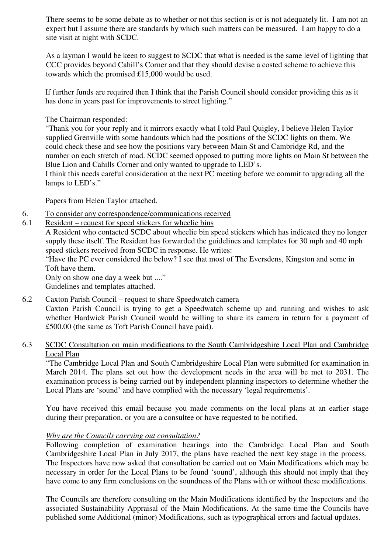There seems to be some debate as to whether or not this section is or is not adequately lit. I am not an expert but I assume there are standards by which such matters can be measured. I am happy to do a site visit at night with SCDC.

As a layman I would be keen to suggest to SCDC that what is needed is the same level of lighting that CCC provides beyond Cahill's Corner and that they should devise a costed scheme to achieve this towards which the promised £15,000 would be used.

If further funds are required then I think that the Parish Council should consider providing this as it has done in years past for improvements to street lighting."

The Chairman responded:

"Thank you for your reply and it mirrors exactly what I told Paul Quigley, I believe Helen Taylor supplied Grenville with some handouts which had the positions of the SCDC lights on them. We could check these and see how the positions vary between Main St and Cambridge Rd, and the number on each stretch of road. SCDC seemed opposed to putting more lights on Main St between the Blue Lion and Cahills Corner and only wanted to upgrade to LED's.

I think this needs careful consideration at the next PC meeting before we commit to upgrading all the lamps to LED's."

Papers from Helen Taylor attached.

- 6. To consider any correspondence/communications received
- 6.1 Resident request for speed stickers for wheelie bins

A Resident who contacted SCDC about wheelie bin speed stickers which has indicated they no longer supply these itself. The Resident has forwarded the guidelines and templates for 30 mph and 40 mph speed stickers received from SCDC in response. He writes:

"Have the PC ever considered the below? I see that most of The Eversdens, Kingston and some in Toft have them.

Only on show one day a week but ...."

Guidelines and templates attached.

6.2 Caxton Parish Council – request to share Speedwatch camera

Caxton Parish Council is trying to get a Speedwatch scheme up and running and wishes to ask whether Hardwick Parish Council would be willing to share its camera in return for a payment of £500.00 (the same as Toft Parish Council have paid).

## 6.3 SCDC Consultation on main modifications to the South Cambridgeshire Local Plan and Cambridge Local Plan

"The Cambridge Local Plan and South Cambridgeshire Local Plan were submitted for examination in March 2014. The plans set out how the development needs in the area will be met to 2031. The examination process is being carried out by independent planning inspectors to determine whether the Local Plans are 'sound' and have complied with the necessary 'legal requirements'.

You have received this email because you made comments on the local plans at an earlier stage during their preparation, or you are a consultee or have requested to be notified.

#### *Why are the Councils carrying out consultation?*

Following completion of examination hearings into the Cambridge Local Plan and South Cambridgeshire Local Plan in July 2017, the plans have reached the next key stage in the process. The Inspectors have now asked that consultation be carried out on Main Modifications which may be necessary in order for the Local Plans to be found 'sound', although this should not imply that they have come to any firm conclusions on the soundness of the Plans with or without these modifications.

The Councils are therefore consulting on the Main Modifications identified by the Inspectors and the associated Sustainability Appraisal of the Main Modifications. At the same time the Councils have published some Additional (minor) Modifications, such as typographical errors and factual updates.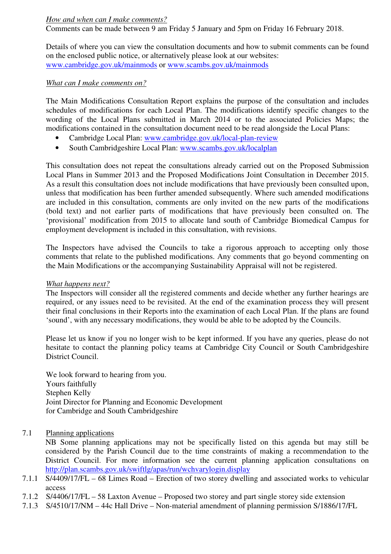#### *How and when can I make comments?*

Comments can be made between 9 am Friday 5 January and 5pm on Friday 16 February 2018.

Details of where you can view the consultation documents and how to submit comments can be found on the enclosed public notice, or alternatively please look at our websites: www.cambridge.gov.uk/mainmods or www.scambs.gov.uk/mainmods

#### *What can I make comments on?*

The Main Modifications Consultation Report explains the purpose of the consultation and includes schedules of modifications for each Local Plan. The modifications identify specific changes to the wording of the Local Plans submitted in March 2014 or to the associated Policies Maps; the modifications contained in the consultation document need to be read alongside the Local Plans:

- Cambridge Local Plan: www.cambridge.gov.uk/local-plan-review
- South Cambridgeshire Local Plan: www.scambs.gov.uk/localplan

This consultation does not repeat the consultations already carried out on the Proposed Submission Local Plans in Summer 2013 and the Proposed Modifications Joint Consultation in December 2015. As a result this consultation does not include modifications that have previously been consulted upon, unless that modification has been further amended subsequently. Where such amended modifications are included in this consultation, comments are only invited on the new parts of the modifications (bold text) and not earlier parts of modifications that have previously been consulted on. The 'provisional' modification from 2015 to allocate land south of Cambridge Biomedical Campus for employment development is included in this consultation, with revisions.

The Inspectors have advised the Councils to take a rigorous approach to accepting only those comments that relate to the published modifications. Any comments that go beyond commenting on the Main Modifications or the accompanying Sustainability Appraisal will not be registered.

#### *What happens next?*

The Inspectors will consider all the registered comments and decide whether any further hearings are required, or any issues need to be revisited. At the end of the examination process they will present their final conclusions in their Reports into the examination of each Local Plan. If the plans are found 'sound', with any necessary modifications, they would be able to be adopted by the Councils.

Please let us know if you no longer wish to be kept informed. If you have any queries, please do not hesitate to contact the planning policy teams at Cambridge City Council or South Cambridgeshire District Council.

We look forward to hearing from you. Yours faithfully Stephen Kelly Joint Director for Planning and Economic Development for Cambridge and South Cambridgeshire

## 7.1 Planning applications

NB Some planning applications may not be specifically listed on this agenda but may still be considered by the Parish Council due to the time constraints of making a recommendation to the District Council. For more information see the current planning application consultations on http://plan.scambs.gov.uk/swiftlg/apas/run/wchvarylogin.display

- 7.1.1 S/4409/17/FL 68 Limes Road Erection of two storey dwelling and associated works to vehicular access
- 7.1.2 S/4406/17/FL 58 Laxton Avenue Proposed two storey and part single storey side extension
- 7.1.3 S/4510/17/NM 44c Hall Drive Non-material amendment of planning permission S/1886/17/FL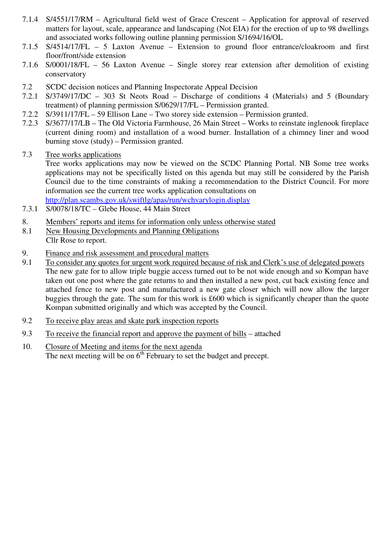- 7.1.4 S/4551/17/RM Agricultural field west of Grace Crescent Application for approval of reserved matters for layout, scale, appearance and landscaping (Not EIA) for the erection of up to 98 dwellings and associated works following outline planning permission S/1694/16/OL
- 7.1.5 S/4514/17/FL 5 Laxton Avenue Extension to ground floor entrance/cloakroom and first floor/front/side extension
- 7.1.6 S/0001/18/FL 56 Laxton Avenue Single storey rear extension after demolition of existing conservatory
- 7.2 SCDC decision notices and Planning Inspectorate Appeal Decision
- 7.2.1 S/3749/17/DC 303 St Neots Road Discharge of conditions 4 (Materials) and 5 (Boundary treatment) of planning permission S/0629/17/FL – Permission granted.
- 7.2.2 S/3911/17/FL 59 Ellison Lane Two storey side extension Permission granted.
- 7.2.3 S/3677/17/LB The Old Victoria Farmhouse, 26 Main Street Works to reinstate inglenook fireplace (current dining room) and installation of a wood burner. Installation of a chimney liner and wood burning stove (study) – Permission granted.
- 7.3 Tree works applications

Tree works applications may now be viewed on the SCDC Planning Portal. NB Some tree works applications may not be specifically listed on this agenda but may still be considered by the Parish Council due to the time constraints of making a recommendation to the District Council. For more information see the current tree works application consultations on http://plan.scambs.gov.uk/swiftlg/apas/run/wchvarylogin.display

- 7.3.1 S/0078/18/TC Glebe House, 44 Main Street
- 8. Members' reports and items for information only unless otherwise stated
- 8.1 New Housing Developments and Planning Obligations Cllr Rose to report.
- 9. Finance and risk assessment and procedural matters
- 9.1 To consider any quotes for urgent work required because of risk and Clerk's use of delegated powers The new gate for to allow triple buggie access turned out to be not wide enough and so Kompan have taken out one post where the gate returns to and then installed a new post, cut back existing fence and attached fence to new post and manufactured a new gate closer which will now allow the larger buggies through the gate. The sum for this work is £600 which is significantly cheaper than the quote Kompan submitted originally and which was accepted by the Council.
- 9.2 To receive play areas and skate park inspection reports
- 9.3 To receive the financial report and approve the payment of bills attached
- 10. Closure of Meeting and items for the next agenda The next meeting will be on 6<sup>th</sup> February to set the budget and precept.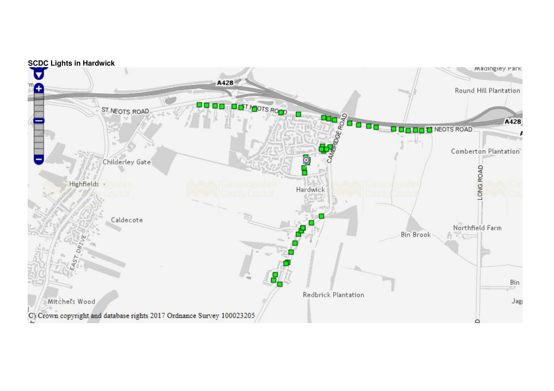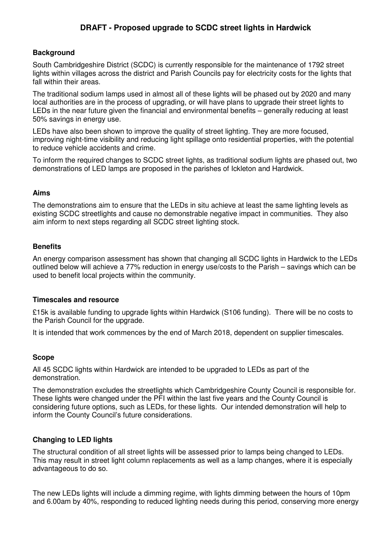## **DRAFT - Proposed upgrade to SCDC street lights in Hardwick**

### **Background**

South Cambridgeshire District (SCDC) is currently responsible for the maintenance of 1792 street lights within villages across the district and Parish Councils pay for electricity costs for the lights that fall within their areas.

The traditional sodium lamps used in almost all of these lights will be phased out by 2020 and many local authorities are in the process of upgrading, or will have plans to upgrade their street lights to LEDs in the near future given the financial and environmental benefits – generally reducing at least 50% savings in energy use.

LEDs have also been shown to improve the quality of street lighting. They are more focused, improving night-time visibility and reducing light spillage onto residential properties, with the potential to reduce vehicle accidents and crime.

To inform the required changes to SCDC street lights, as traditional sodium lights are phased out, two demonstrations of LED lamps are proposed in the parishes of Ickleton and Hardwick.

#### **Aims**

The demonstrations aim to ensure that the LEDs in situ achieve at least the same lighting levels as existing SCDC streetlights and cause no demonstrable negative impact in communities. They also aim inform to next steps regarding all SCDC street lighting stock.

#### **Benefits**

An energy comparison assessment has shown that changing all SCDC lights in Hardwick to the LEDs outlined below will achieve a 77% reduction in energy use/costs to the Parish – savings which can be used to benefit local projects within the community.

#### **Timescales and resource**

£15k is available funding to upgrade lights within Hardwick (S106 funding). There will be no costs to the Parish Council for the upgrade.

It is intended that work commences by the end of March 2018, dependent on supplier timescales.

#### **Scope**

All 45 SCDC lights within Hardwick are intended to be upgraded to LEDs as part of the demonstration.

The demonstration excludes the streetlights which Cambridgeshire County Council is responsible for. These lights were changed under the PFI within the last five years and the County Council is considering future options, such as LEDs, for these lights. Our intended demonstration will help to inform the County Council's future considerations.

#### **Changing to LED lights**

The structural condition of all street lights will be assessed prior to lamps being changed to LEDs. This may result in street light column replacements as well as a lamp changes, where it is especially advantageous to do so.

The new LEDs lights will include a dimming regime, with lights dimming between the hours of 10pm and 6.00am by 40%, responding to reduced lighting needs during this period, conserving more energy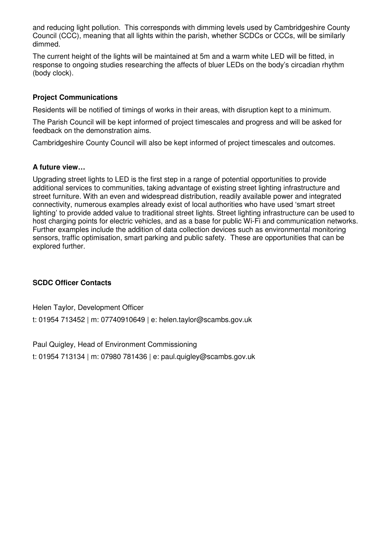and reducing light pollution. This corresponds with dimming levels used by Cambridgeshire County Council (CCC), meaning that all lights within the parish, whether SCDCs or CCCs, will be similarly dimmed.

The current height of the lights will be maintained at 5m and a warm white LED will be fitted, in response to ongoing studies researching the affects of bluer LEDs on the body's circadian rhythm (body clock).

### **Project Communications**

Residents will be notified of timings of works in their areas, with disruption kept to a minimum.

The Parish Council will be kept informed of project timescales and progress and will be asked for feedback on the demonstration aims.

Cambridgeshire County Council will also be kept informed of project timescales and outcomes.

#### **A future view…**

Upgrading street lights to LED is the first step in a range of potential opportunities to provide additional services to communities, taking advantage of existing street lighting infrastructure and street furniture. With an even and widespread distribution, readily available power and integrated connectivity, numerous examples already exist of local authorities who have used 'smart street lighting' to provide added value to traditional street lights. Street lighting infrastructure can be used to host charging points for electric vehicles, and as a base for public Wi-Fi and communication networks. Further examples include the addition of data collection devices such as environmental monitoring sensors, traffic optimisation, smart parking and public safety. These are opportunities that can be explored further.

#### **SCDC Officer Contacts**

Helen Taylor, Development Officer

t: 01954 713452 | m: 07740910649 | e: helen.taylor@scambs.gov.uk

Paul Quigley, Head of Environment Commissioning

t: 01954 713134 | m: 07980 781436 | e: paul.quigley@scambs.gov.uk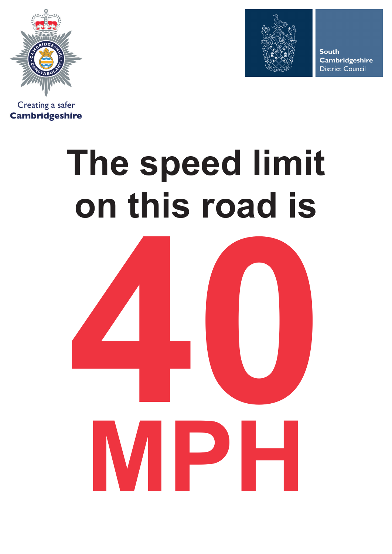





**South Cambridgeshire District Council** 

# **The speed limit on this road is**

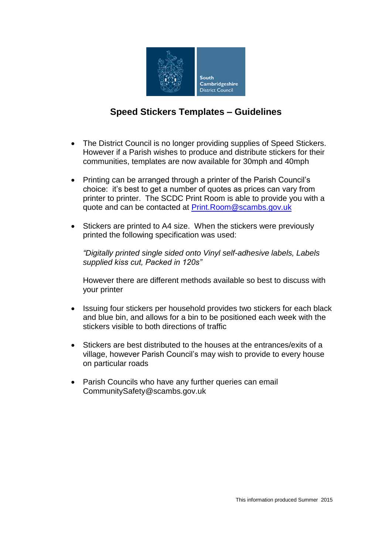

# **Speed Stickers Templates – Guidelines**

- The District Council is no longer providing supplies of Speed Stickers. However if a Parish wishes to produce and distribute stickers for their communities, templates are now available for 30mph and 40mph
- Printing can be arranged through a printer of the Parish Council's choice: it's best to get a number of quotes as prices can vary from printer to printer. The SCDC Print Room is able to provide you with a quote and can be contacted at [Print.Room@scambs.gov.uk](mailto:Print.Room@scambs.gov.uk)
- Stickers are printed to A4 size. When the stickers were previously printed the following specification was used:

*"Digitally printed single sided onto Vinyl self-adhesive labels, Labels supplied kiss cut, Packed in 120s"*

However there are different methods available so best to discuss with your printer

- Issuing four stickers per household provides two stickers for each black and blue bin, and allows for a bin to be positioned each week with the stickers visible to both directions of traffic
- Stickers are best distributed to the houses at the entrances/exits of a village, however Parish Council's may wish to provide to every house on particular roads
- Parish Councils who have any further queries can email CommunitySafety@scambs.gov.uk